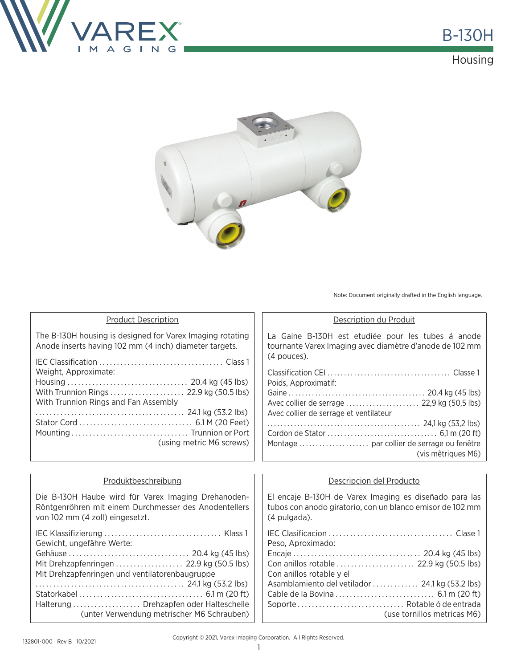

### Housing



Note: Document originally drafted in the English language.

Cable de la Bovina . . . . . . . . . . . . . . . . . . . . . . . . . . . . 6.1 m (20 ft) Soporte . . . . . . . . . . . . . . . . . . . . . . . . . . . . . . Rotable ó de entrada

(use tornillos metricas M6)

| <b>Product Description</b>                                                                                                                      | Description du Produit                                                                                                              |  |
|-------------------------------------------------------------------------------------------------------------------------------------------------|-------------------------------------------------------------------------------------------------------------------------------------|--|
| The B-130H housing is designed for Varex Imaging rotating<br>Anode inserts having 102 mm (4 inch) diameter targets.                             | La Gaine B-130H est etudiée pour les tubes á anode<br>tournante Varex Imaging avec diamètre d'anode de 102 mm<br>(4 pouces).        |  |
| Weight, Approximate:                                                                                                                            | Poids, Approximatif:                                                                                                                |  |
| With Trunnion Rings and Fan Assembly                                                                                                            | Avec collier de serrage et ventilateur<br>(vis mêtriques M6)                                                                        |  |
| (using metric M6 screws)                                                                                                                        |                                                                                                                                     |  |
|                                                                                                                                                 |                                                                                                                                     |  |
| Produktbeschreibung                                                                                                                             | Descripcion del Producto                                                                                                            |  |
| Die B-130H Haube wird für Varex Imaging Drehanoden-<br>Röntgenröhren mit einem Durchmesser des Anodentellers<br>von 102 mm (4 zoll) eingesetzt. | El encaje B-130H de Varex Imaging es diseñado para las<br>tubos con anodo giratorio, con un blanco emisor de 102 mm<br>(4 pulgada). |  |
| Gewicht, ungefähre Werte:                                                                                                                       | Peso, Aproximado:                                                                                                                   |  |
| Mit Drehzapfenringen  22.9 kg (50.5 lbs)<br>Mit Drehzapfenringen und ventilatorenbaugruppe                                                      | Con anillos rotable y el                                                                                                            |  |
|                                                                                                                                                 | Asamblamiento del vetilador  24.1 kg (53.2 lbs)                                                                                     |  |

. . . . . . . . . . . . . . . . . . . . . . . . . . . . . . . . . . . . . . . . . . 24.1 kg (53.2 lbs) Statorkabel . . . . . . . . . . . . . . . . . . . . . . . . . . . . . . . . . . . 6.1 m (20 ft) Halterung . . . . . . . . . . . . . . . . . . . Drehzapfen oder Halteschelle

(unter Verwendung metrischer M6 Schrauben)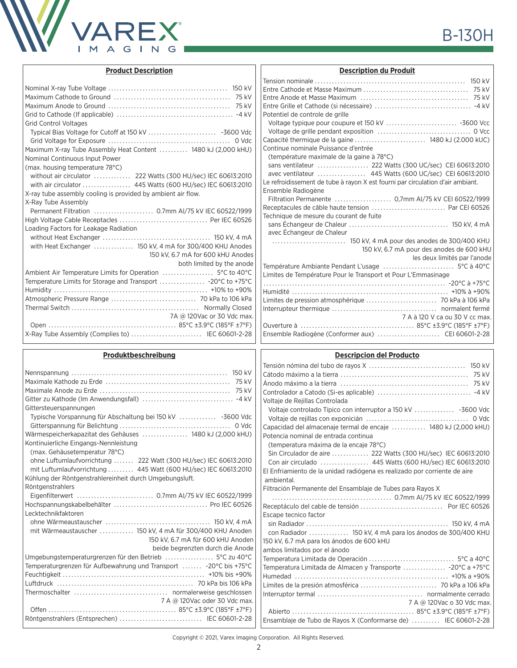

| 75 kV                                                         |
|---------------------------------------------------------------|
|                                                               |
| <b>Grid Control Voltages</b>                                  |
|                                                               |
|                                                               |
| Maximum X-ray Tube Assembly Heat Content  1480 kJ (2,000 kHU) |
| Nominal Continuous Input Power                                |
| (max. housing temperature 78°C)                               |
| without air circulator  222 Watts (300 HU/sec) IEC 60613:2010 |
|                                                               |
| X-ray tube assembly cooling is provided by ambient air flow.  |
| X-Ray Tube Assembly                                           |
|                                                               |
|                                                               |
| Loading Factors for Leakage Radiation                         |
|                                                               |
| with Heat Exchanger  150 kV, 4 mA for 300/400 KHU Anodes      |
| 150 kV, 6.7 mA for 600 kHU Anodes                             |
| both limited by the anode                                     |
|                                                               |
|                                                               |
|                                                               |
|                                                               |
|                                                               |
| 7A @ 120Vac or 30 Vdc max.                                    |
|                                                               |
| X-Ray Tube Assembly (Complies to)  IEC 60601-2-28             |
|                                                               |

### **Produktbeschreibung**

| 150 kV<br>75 kV                                                                                                            |
|----------------------------------------------------------------------------------------------------------------------------|
| Gittersteuerspannungen                                                                                                     |
| Typische Vorspannung für Abschaltung bei 150 kV  -3600 Vdc                                                                 |
| Wärmespeicherkapazitat des Gehäuses  1480 kJ (2,000 kHU)                                                                   |
| Kontinuierliche Eingangs-Nennleistung<br>(max. Gehäusetemperatur 78°C)                                                     |
| ohne Luftumlaufvorrichtung  222 Watt (300 HU/sec) IEC 60613:2010                                                           |
| mit Luftumlaufvorrichtung  445 Watt (600 HU/sec) IEC 60613:2010<br>Kühlung der Röntgenstrahlereinheit durch Umgebungsluft. |
| Röntgenstrahlers                                                                                                           |
|                                                                                                                            |
| Lecktechnikfaktoren                                                                                                        |
|                                                                                                                            |
| mit Wärmeaustauscher  150 kV, 4 mA für 300/400 KHU Anoden                                                                  |
| 150 kV, 6.7 mA für 600 kHU Anoden<br>beide begrenzten durch die Anode                                                      |
|                                                                                                                            |
| Temperaturgrenzen für Aufbewahrung und Transport  -20°C bis +75°C                                                          |
|                                                                                                                            |
|                                                                                                                            |
| 7 A @ 120Vac oder 30 Vdc max.                                                                                              |
|                                                                                                                            |
| Röntgenstrahlers (Entsprechen)  IEC 60601-2-28                                                                             |

| Potentiel de controle de grille                                                |
|--------------------------------------------------------------------------------|
|                                                                                |
|                                                                                |
| Capacité thermique de la gaine  1480 kJ (2.000 kUC)                            |
| Continue nominale Puissance d'entrée                                           |
| (température maximale de la gaine à 78°C)                                      |
|                                                                                |
| avec ventilateur  445 Watts (600 UC/sec) CEI 60613:2010                        |
| Le refroidissement de tube à rayon X est fourni par circulation d'air ambiant. |
| Ensemble Radiogène                                                             |
| Filtration Permanente  0,7mm Al/75 kV CEI 60522/1999                           |
| Receptacules de câble haute tension  Par CEI 60526                             |
| Technique de mesure du courant de fuite                                        |
|                                                                                |
| avec Échangeur de Chaleur                                                      |
|                                                                                |
| 150 kV, 6.7 mA pour des anodes de 600 kHU                                      |
| les deux limités par l'anode                                                   |
|                                                                                |
| Limites de Température Pour le Transport et Pour L'Emmasinage                  |
|                                                                                |
|                                                                                |
|                                                                                |
|                                                                                |
| 7 A à 120 V ca ou 30 V cc max.                                                 |
|                                                                                |
|                                                                                |

**Description du Produit**

### **Descripcion del Producto**

| Voltaje de Rejillas Controlada                                            |
|---------------------------------------------------------------------------|
|                                                                           |
| 0 Vdc                                                                     |
| Capacidad del almacenaje termal de encaje  1480 kJ (2,000 kHU)            |
| Potencia nominal de entrada continua                                      |
| (temperatura máxima de la encaje 78°C)                                    |
| Sin Circulador de aire  222 Watts (300 HU/sec) IEC 60613:2010             |
|                                                                           |
| El Enfriamiento de la unidad radiógena es realizado por corriente de aire |
| ambiental.                                                                |
| Filtración Permanente del Ensamblaje de Tubes para Rayos X                |
|                                                                           |
|                                                                           |
| Escape tecnico factor                                                     |
|                                                                           |
| con Radiador  150 kV, 4 mA para los ánodos de 300/400 KHU                 |
| 150 kV, 6.7 mA para los ánodos de 600 kHU                                 |
| ambos limitados por el ánodo                                              |
|                                                                           |
| Temperatura Limitada de Almacen y Transporte  -20°C a +75°C               |
|                                                                           |
|                                                                           |
|                                                                           |
| 7 A @ 120Vac o 30 Vdc max.                                                |
|                                                                           |
| Ensamblaje de Tubo de Rayos X (Conformarse de)  IEC 60601-2-28            |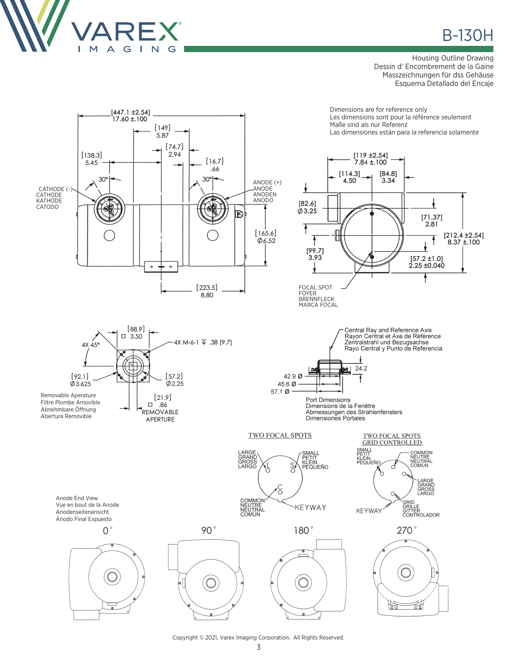

## **B-130H**

#### **Housing Outline Drawing** Dessin d'Encombrement de la Gaine Masszeichnungen für dss Gehäuse Esquema Detallado del Encaje

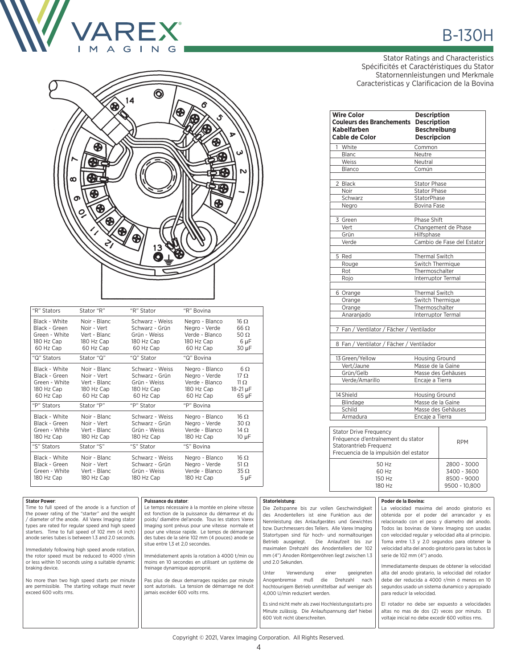



| "R" Stators                                                                | Stator "R"                                                             | "R" Stator                                                                   | "R" Bovina                                                                   |                                                                  |
|----------------------------------------------------------------------------|------------------------------------------------------------------------|------------------------------------------------------------------------------|------------------------------------------------------------------------------|------------------------------------------------------------------|
| Black - White<br>Black - Green<br>Green - White<br>180 Hz Cap<br>60 Hz Cap | Noir - Blanc<br>Noir - Vert<br>Vert - Blanc<br>180 Hz Cap<br>60 Hz Cap | Schwarz - Weiss<br>Schwarz - Grün<br>Grün - Weiss<br>180 Hz Cap<br>60 Hz Cap | Negro - Blanco<br>Negro - Verde<br>Verde - Blanco<br>180 Hz Cap<br>60 Hz Cap | $16 \Omega$<br>$66 \Omega$<br>50 $\Omega$<br>6 µF<br>30 µF       |
| "Q" Stators                                                                | Stator "Q"                                                             | "Q" Stator                                                                   | "Q" Bovina                                                                   |                                                                  |
| Black - White<br>Black - Green<br>Green - White<br>180 Hz Cap<br>60 Hz Cap | Noir - Blanc<br>Noir - Vert<br>Vert - Blanc<br>180 Hz Cap<br>60 Hz Cap | Schwarz - Weiss<br>Schwarz - Grün<br>Grün - Weiss<br>180 Hz Cap<br>60 Hz Cap | Negro - Blanco<br>Negro - Verde<br>Verde - Blanco<br>180 Hz Cap<br>60 Hz Cap | $6\Omega$<br>$17 \Omega$<br>11 <sub>O</sub><br>18-21 µF<br>65 µF |
| "P" Stators                                                                | Stator "P"                                                             | "P" Stator                                                                   | "P" Bovina                                                                   |                                                                  |
| Black - White<br>Black - Green<br>Green - White<br>180 Hz Cap              | Noir - Blanc<br>Noir - Vert<br>Vert - Blanc<br>180 Hz Cap              | Schwarz - Weiss<br>Schwarz - Grün<br>Grün - Weiss<br>180 Hz Cap              | Negro - Blanco<br>Negro - Verde<br>Verde - Blanco<br>180 Hz Cap              | $16 \Omega$<br>$30 \Omega$<br>$14 \Omega$<br>$10 \mu F$          |
| "S" Stators                                                                | Stator "S"                                                             | "S" Stator                                                                   | "S" Bovina                                                                   |                                                                  |
| Black - White<br>Black - Green<br>Green - White<br>180 Hz Cap              | Noir - Blanc<br>Noir - Vert<br>Vert - Blanc<br>180 Hz Cap              | Schwarz - Weiss<br>Schwarz - Grün<br>Grün - Weiss<br>180 Hz Cap              | Negro - Blanco<br>Negro - Verde<br>Verde - Blanco<br>180 Hz Cap              | 16 <sub>O</sub><br>51 $\Omega$<br>$35 \Omega$<br>$5 \mu F$       |

# **B-130H**

Stator Ratings and Characteristics Spécificités et Caractéristiques du Stator Statornennleistungen und Merkmale Caracteristicas y Clarificacion de la Bovina

| <b>Wire Color</b><br><b>Couleurs des Branchements</b><br><b>Kabelfarben</b><br>Cable de Color                                           | <b>Description</b><br><b>Description</b><br><b>Beschreibung</b><br><b>Descripcion</b> |  |
|-----------------------------------------------------------------------------------------------------------------------------------------|---------------------------------------------------------------------------------------|--|
| White                                                                                                                                   | Common                                                                                |  |
| <b>Blanc</b>                                                                                                                            | Neutre                                                                                |  |
| Weiss                                                                                                                                   | Neutral                                                                               |  |
| Blanco                                                                                                                                  | Común                                                                                 |  |
| 2 Black                                                                                                                                 | <b>Stator Phase</b>                                                                   |  |
| Noir                                                                                                                                    | <b>Stator Phase</b>                                                                   |  |
| Schwarz                                                                                                                                 | <b>StatorPhase</b>                                                                    |  |
| Negro                                                                                                                                   | Bovina Fase                                                                           |  |
| 3 Green                                                                                                                                 | Phase Shift                                                                           |  |
| Vert                                                                                                                                    | Changement de Phase                                                                   |  |
| Grün                                                                                                                                    | Hilfsphase                                                                            |  |
| Verde                                                                                                                                   | Cambio de Fase del Estator                                                            |  |
| 5 Red                                                                                                                                   | Thermal Switch                                                                        |  |
| Rouge                                                                                                                                   | Switch Thermique                                                                      |  |
| Rot                                                                                                                                     | Thermoschalter                                                                        |  |
| Rojo                                                                                                                                    | Interruptor Termal                                                                    |  |
| 6 Orange                                                                                                                                | <b>Thermal Switch</b>                                                                 |  |
| Orange                                                                                                                                  | Switch Thermique                                                                      |  |
| Orange                                                                                                                                  | Thermoschalter                                                                        |  |
| Anaranjado                                                                                                                              | Interruptor Termal                                                                    |  |
| 7 Fan / Ventilator / Fächer / Ventilador                                                                                                |                                                                                       |  |
| 8 Fan / Ventilator / Fächer / Ventilador                                                                                                |                                                                                       |  |
| 13 Green/Yellow                                                                                                                         | <b>Housing Ground</b>                                                                 |  |
| Vert/Jaune                                                                                                                              | Masse de la Gaine                                                                     |  |
| Grün/Gelb                                                                                                                               | Masse des Gehäuses                                                                    |  |
| Verde/Amarillo                                                                                                                          | Encaje a Tierra                                                                       |  |
| 14 Shield                                                                                                                               | <b>Housing Ground</b>                                                                 |  |
| Blindage                                                                                                                                | Masse de la Gaine                                                                     |  |
| Schild                                                                                                                                  | Masse des Gehäuses                                                                    |  |
| Armadura                                                                                                                                | Encaje a Tierra                                                                       |  |
| <b>Stator Drive Frequency</b><br>Fréquence d'entraînement du stator<br>Statorantrieb Frequenz<br>Frecuencia de la impulsión del estator | <b>RPM</b>                                                                            |  |
| 50 Hz<br>60 Hz<br>150 Hz<br>180 Hz                                                                                                      | 2800 - 3000<br>3400 - 3600<br>8500 - 9000<br>9500 - 10,800                            |  |

| <b>Stator Power:</b><br>Time to full speed of the anode is a function of<br>the power rating of the "starter" and the weight<br>diameter of the anode. All Varex Imaging stator<br>types are rated for regular speed and high speed<br>starters. Time to full speed of 102 mm (4 inch)<br>anode series tubes is between 1.3 and 2.0 seconds.<br>Immediately following high speed anode rotation,<br>the rotor speed must be reduced to 4000 r/min<br>or less within 10 seconds using a suitable dynamic<br>braking device.<br>No more than two high speed starts per minute<br>are permissible. The starting voltage must never<br>exceed 600 volts rms. | Puissance du stator:<br>Le temps nécessaire à la montée en pleine vitesse<br>est fonction de la puissance du démarreur et du<br>poids/ diamétre del'anode. Tous les stators Varex<br>Imaging sont prévus pour une vitesse normale et<br>pour une vitesse rapide. Le temps de démarrage<br>des tubes de la série 102 mm (4 pouces) anode se<br>situe entre 1,3 et 2,0 secondes.<br>Immédiatement aprés la rotation à 4000 t/min ou<br>moins en 10 secondes en utilisant un système de<br>freinage dynamique approprié.<br>Pas plus de deux demarrages rapides par minute<br>sont autorisés. La tension de démarrage ne doit<br>jamais excéder 600 volts rms. | Statorleistung:<br>Die Zeitspanne bis zur vollen Geschwindigkeit<br>des Anodentellers ist eine Funktion aus der<br>Nennleistung des Anlaufgerätes und Gewichtes<br>bzw. Durchmessers des Tellers. Alle Varex Imaging<br>Statortypen sind für hoch- und normaltourigen<br>Die Anlaufzeit bis zur<br>Betrieb ausgelegt.<br>maximalen Drehzahl des Anodentellers der 102<br>mm (4") Anoden Röntgenröhren liegt zwischen 1.3<br>und 2.0 Sekunden.<br>Verwendung<br>Unter<br>einer<br>geeigneten<br>Anogenbremse<br>muß<br>die<br>Drehzahl<br>nach<br>hochtourigem Betrieb unmittelbar auf weniger als<br>4,000 U/min reduziert werden.<br>Es sind nicht mehr als zwei Hochleistungsstarts pro<br>Minute zulässig. Die Anlaufspannung darf hiebei<br>600 Volt nicht überschreiten. | Poder de la Bovina:<br>La velocidad maxima del anodo giratorio es<br>obtenida por el poder del arrancador y es<br>relacionado con el peso y diametro del anodo.<br>Todos las bovinas de Varex Imaging son usadas<br>con velocidad regular y velocidad alta al principio.<br>Toma entre 1.3 y 2.0 segundos para obtener la<br>velocidad alta del anodo giratorio para las tubos la<br>serie de 102 mm (4") anodo.<br>Immediatamente despues de obtener la velocidad<br>alta del anodo giratario, la velocidad del rotador<br>debe der reducida a 4000 r/min ó menos en 10<br>segundos usado un sistema dunamico y apropiado<br>para reducir la velocidad.<br>El rotador no debe ser expuesto a velocidades<br>altas no mas de dos (2) veces por minuto. El<br>voltaje inicial no debe excedir 600 voltios rms. |
|----------------------------------------------------------------------------------------------------------------------------------------------------------------------------------------------------------------------------------------------------------------------------------------------------------------------------------------------------------------------------------------------------------------------------------------------------------------------------------------------------------------------------------------------------------------------------------------------------------------------------------------------------------|-------------------------------------------------------------------------------------------------------------------------------------------------------------------------------------------------------------------------------------------------------------------------------------------------------------------------------------------------------------------------------------------------------------------------------------------------------------------------------------------------------------------------------------------------------------------------------------------------------------------------------------------------------------|-------------------------------------------------------------------------------------------------------------------------------------------------------------------------------------------------------------------------------------------------------------------------------------------------------------------------------------------------------------------------------------------------------------------------------------------------------------------------------------------------------------------------------------------------------------------------------------------------------------------------------------------------------------------------------------------------------------------------------------------------------------------------------|---------------------------------------------------------------------------------------------------------------------------------------------------------------------------------------------------------------------------------------------------------------------------------------------------------------------------------------------------------------------------------------------------------------------------------------------------------------------------------------------------------------------------------------------------------------------------------------------------------------------------------------------------------------------------------------------------------------------------------------------------------------------------------------------------------------|
|                                                                                                                                                                                                                                                                                                                                                                                                                                                                                                                                                                                                                                                          |                                                                                                                                                                                                                                                                                                                                                                                                                                                                                                                                                                                                                                                             |                                                                                                                                                                                                                                                                                                                                                                                                                                                                                                                                                                                                                                                                                                                                                                               |                                                                                                                                                                                                                                                                                                                                                                                                                                                                                                                                                                                                                                                                                                                                                                                                               |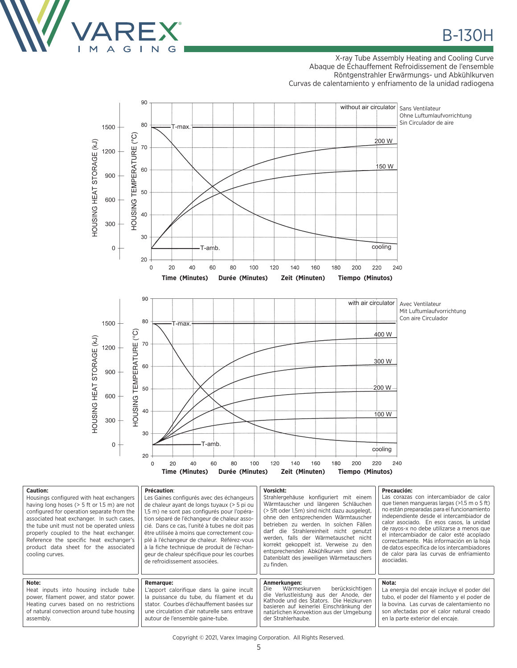

### X-ray Tube Assembly Heating and Cooling Curve Abaque de Échauffement Refroidissement de l'ensemble Röntgenstrahler Erwärmungs- und Abkühlkurven Curvas de calentamiento y enfriamento de la unidad radiogena



| <b>Caution:</b><br>Housings configured with heat exchangers<br>having long hoses $(> 5$ ft or 1.5 m) are not<br>configured for operation separate from the<br>associated heat exchanger. In such cases,<br>the tube unit must not be operated unless<br>properly coupled to the heat exchanger.<br>Reference the specific heat exchanger's<br>product data sheet for the associated<br>cooling curves. | Précaution:<br>Les Gaines configurés avec des échangeurs<br>de chaleur ayant de longs tuyaux (> 5 pi ou<br>1.5 m) ne sont pas configurés pour l'opéra-<br>tion séparé de l'échangeur de chaleur asso-<br>cié. Dans ce cas. l'unité à tubes ne doit pas<br>être utilisée à moins que correctement cou-<br>plé à l'échangeur de chaleur. Référez-vous<br>à la fiche technique de produit de l'échan-<br>geur de chaleur spécifique pour les courbes<br>de refroidissement associées. | Vorsicht:<br>Strahlergehäuse konfiguriert mit einem<br>Wärmtauscher und längeren Schläuchen<br>(> 5ft oder 1.5m) sind nicht dazu ausgelegt.<br>ohne den entsprechenden Wärmtauscher<br>betrieben zu werden. In solchen Fällen<br>darf die Strahlereinheit nicht genutzt<br>werden. falls der Wärmetauschet nicht<br>korrekt gekoppelt ist. Verweise zu den<br>entsprechenden Abkühlkurven sind dem<br>Datenblatt des jeweiligen Wärmetauschers<br>zu finden. | Precaución:<br>Las corazas con intercambiador de calor  <br>que tienen mangueras largas (>1.5 m o 5 ft)<br>no están preparadas para el funcionamiento<br>independiente desde el intercambiador de<br>calor asociado. En esos casos, la unidad  <br>de rayos-x no debe utilizarse a menos que  <br>el intercambiador de calor esté acoplado<br>correctamente. Más información en la hoja<br>de datos específica de los intercambiadores<br>de calor para las curvas de enfriamiento<br>asociadas. |
|--------------------------------------------------------------------------------------------------------------------------------------------------------------------------------------------------------------------------------------------------------------------------------------------------------------------------------------------------------------------------------------------------------|------------------------------------------------------------------------------------------------------------------------------------------------------------------------------------------------------------------------------------------------------------------------------------------------------------------------------------------------------------------------------------------------------------------------------------------------------------------------------------|--------------------------------------------------------------------------------------------------------------------------------------------------------------------------------------------------------------------------------------------------------------------------------------------------------------------------------------------------------------------------------------------------------------------------------------------------------------|--------------------------------------------------------------------------------------------------------------------------------------------------------------------------------------------------------------------------------------------------------------------------------------------------------------------------------------------------------------------------------------------------------------------------------------------------------------------------------------------------|
| Note:<br>Heat inputs into housing include tube<br>power, filament power, and stator power.<br>Heating curves based on no restrictions<br>of natural convection around tube housing<br>assembly.                                                                                                                                                                                                        | <b>Remarque:</b><br>L'apport calorifique dans la gaine incult<br>la puissance du tube, du filament et du<br>stator. Courbes d'échauffement basées sur<br>une circulation d'air naturelle sans entrave<br>autour de l'ensemble gaine-tube.                                                                                                                                                                                                                                          | Anmerkungen:<br>berücksichtigen<br>Wärmeskurven<br>Die:<br>die Verlustleistung aus der Anode, der<br>Kathode und des Stators. Die Heizkurven<br>basieren auf keinerlei Einschränkung der<br>natürlichen Konvektion aus der Umgebung<br>der Strahlerhaube.                                                                                                                                                                                                    | Nota:<br>La energia del encaje incluye el poder del<br>tubo, el poder del filamento y el poder de<br>la bovina. Las curvas de calentamiento no<br>son afectadas por el calor natural creado<br>en la parte exterior del encaje.                                                                                                                                                                                                                                                                  |